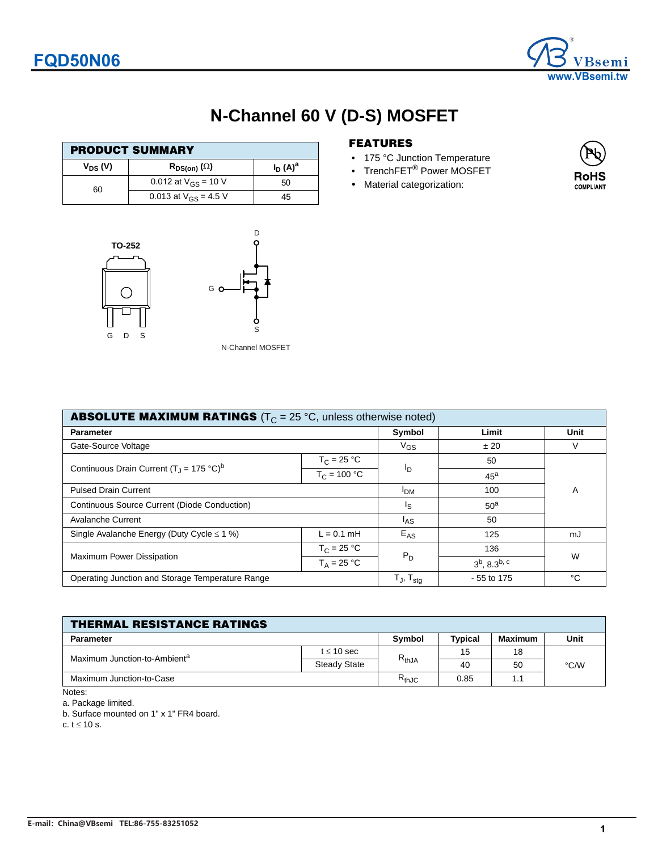

### **N-Channel 60 V (D-S) MOSFET**

| <b>PRODUCT SUMMARY</b> |                           |            |  |  |  |
|------------------------|---------------------------|------------|--|--|--|
| $V_{DS} (V)$           | $R_{DS(on)}(\Omega)$      | $I_D(A)^a$ |  |  |  |
| 60                     | 0.012 at $V_{GS}$ = 10 V  | 50         |  |  |  |
|                        | 0.013 at $V_{GS}$ = 4.5 V | 45         |  |  |  |





#### N-Channel MOSFET

D

### **FEATURES**

- 175 °C Junction Temperature
- TrenchFET<sup>®</sup> Power MOSFET
- Material categorization:



| <b>ABSOLUTE MAXIMUM RATINGS</b> ( $T_C = 25$ °C, unless otherwise noted) |                |                            |                             |    |  |  |  |
|--------------------------------------------------------------------------|----------------|----------------------------|-----------------------------|----|--|--|--|
| <b>Parameter</b>                                                         | Symbol         | Limit                      | Unit                        |    |  |  |  |
| Gate-Source Voltage                                                      | $V_{GS}$       | ± 20                       | V                           |    |  |  |  |
| Continuous Drain Current $(T_1 = 175 \degree C)^b$                       | $T_C = 25 °C$  |                            | 50                          |    |  |  |  |
|                                                                          | $T_C = 100 °C$ | Ιŋ                         | $45^{\text{a}}$             |    |  |  |  |
| <b>Pulsed Drain Current</b>                                              | <b>IDM</b>     | 100                        | A                           |    |  |  |  |
| Continuous Source Current (Diode Conduction)                             | اج             | 50 <sup>a</sup>            |                             |    |  |  |  |
| Avalanche Current                                                        | $I_{AS}$       | 50                         |                             |    |  |  |  |
| Single Avalanche Energy (Duty Cycle $\leq$ 1 %)                          | $L = 0.1$ mH   | $E_{AS}$                   | 125                         | mJ |  |  |  |
| <b>Maximum Power Dissipation</b>                                         | $T_C = 25 °C$  | $P_D$                      | 136                         | W  |  |  |  |
|                                                                          | $T_A = 25 °C$  |                            | $3^b$ , 8.3 <sup>b, c</sup> |    |  |  |  |
| Operating Junction and Storage Temperature Range                         |                | $T_{J}$ , $T_{\text{stg}}$ | - 55 to 175                 | °€ |  |  |  |

| <b>THERMAL RESISTANCE RATINGS</b>        |                 |            |         |                |                    |  |  |
|------------------------------------------|-----------------|------------|---------|----------------|--------------------|--|--|
| <b>Parameter</b>                         |                 | Symbol     | Typical | <b>Maximum</b> | Unit               |  |  |
| Maximum Junction-to-Ambient <sup>a</sup> | $t \leq 10$ sec |            | 15      | 18             | $\rm ^{\circ}$ C/W |  |  |
|                                          | Steady State    | $R_{thJA}$ | 40      | 50             |                    |  |  |
| Maximum Junction-to-Case                 |                 | $R_{thJC}$ | 0.85    | 1.1            |                    |  |  |

Notes:

a. Package limited.

b. Surface mounted on 1" x 1" FR4 board.

c.  $t \leq 10$  s.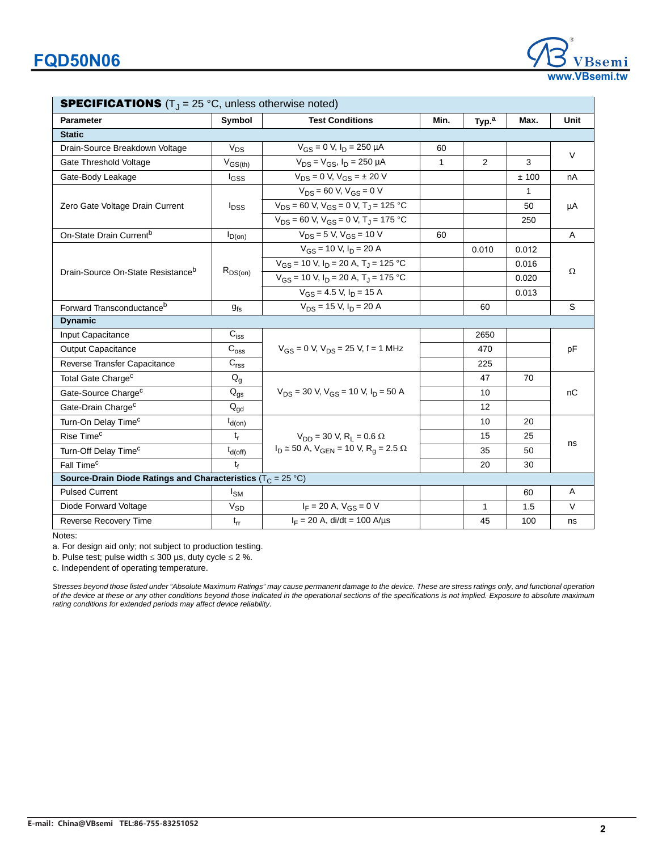| <b>SPECIFICATIONS</b> $(T_J = 25 \degree C$ , unless otherwise noted)           |                            |                                                                 |              |                   |       |        |  |
|---------------------------------------------------------------------------------|----------------------------|-----------------------------------------------------------------|--------------|-------------------|-------|--------|--|
| <b>Parameter</b>                                                                | Symbol                     | <b>Test Conditions</b>                                          | Min.         | Typ. <sup>a</sup> | Max.  | Unit   |  |
| <b>Static</b>                                                                   |                            |                                                                 |              |                   |       |        |  |
| Drain-Source Breakdown Voltage                                                  | $V_{DS}$                   | $V_{GS} = 0$ V, $I_D = 250$ µA                                  | 60           |                   |       | $\vee$ |  |
| Gate Threshold Voltage                                                          | $V_{GS(th)}$               | $V_{DS} = V_{GS}$ , $I_D = 250 \mu A$                           | $\mathbf{1}$ | 2                 | 3     |        |  |
| Gate-Body Leakage                                                               | <b>I</b> GSS               | $V_{DS} = 0$ V, $V_{GS} = \pm 20$ V                             |              |                   | ±100  | nA     |  |
|                                                                                 |                            | $\overline{V_{DS}}$ = 60 V, $V_{GS}$ = 0 V                      |              |                   | 1     | μA     |  |
| Zero Gate Voltage Drain Current                                                 | $I_{DSS}$                  | $V_{DS}$ = 60 V, $V_{GS}$ = 0 V, T <sub>J</sub> = 125 °C        |              |                   | 50    |        |  |
|                                                                                 |                            | $V_{DS}$ = 60 V, V <sub>GS</sub> = 0 V, T <sub>J</sub> = 175 °C |              |                   | 250   |        |  |
| On-State Drain Current <sup>b</sup>                                             | $I_{D(0n)}$                | $V_{DS} = 5 V$ , $V_{GS} = 10 V$                                | 60           |                   |       | A      |  |
|                                                                                 |                            | $V_{GS}$ = 10 V, $I_D$ = 20 A                                   |              | 0.010             | 0.012 | Ω      |  |
|                                                                                 |                            | $V_{GS}$ = 10 V, $I_D$ = 20 A, T <sub>J</sub> = 125 °C          |              |                   | 0.016 |        |  |
| Drain-Source On-State Resistance <sup>b</sup>                                   | $R_{DS(on)}$               | $V_{GS}$ = 10 V, I <sub>D</sub> = 20 A, T <sub>J</sub> = 175 °C |              |                   | 0.020 |        |  |
|                                                                                 |                            | $V_{GS}$ = 4.5 V, $I_D$ = 15 A                                  |              |                   | 0.013 |        |  |
| Forward Transconductance <sup>b</sup>                                           | $g_{fs}$                   | $V_{DS}$ = 15 V, $I_D$ = 20 A                                   |              | 60                |       | S      |  |
| <b>Dynamic</b>                                                                  |                            |                                                                 |              |                   |       |        |  |
| Input Capacitance                                                               | $C_{iss}$                  |                                                                 |              | 2650              |       | pF     |  |
| <b>Output Capacitance</b>                                                       | $C_{\text{oss}}$           | $V_{GS} = 0$ V, $V_{DS} = 25$ V, f = 1 MHz                      |              | 470               |       |        |  |
| Reverse Transfer Capacitance                                                    | C <sub>rss</sub>           |                                                                 |              | 225               |       |        |  |
| Total Gate Charge <sup>c</sup>                                                  | $Q_g$                      |                                                                 |              | 47                | 70    | nС     |  |
| Gate-Source Charge <sup>c</sup>                                                 | $\mathsf{Q}_{\mathsf{gs}}$ | $V_{DS}$ = 30 V, $V_{GS}$ = 10 V, $I_D$ = 50 A                  |              | 10                |       |        |  |
| Gate-Drain Charge <sup>c</sup>                                                  | $Q_{qd}$                   |                                                                 |              | 12                |       |        |  |
| Turn-On Delay Time <sup>c</sup>                                                 | $t_{d(on)}$                |                                                                 |              | 10                | 20    | ns     |  |
| Rise Time <sup>c</sup>                                                          | $t_{r}$                    | $V_{DD}$ = 30 V, R <sub>1</sub> = 0.6 $\Omega$                  |              | 15                | 25    |        |  |
| Turn-Off Delay Time <sup>c</sup>                                                | $t_{d(off)}$               | $I_D \cong 50$ A, $V_{GEN} = 10$ V, $R_q = 2.5$ $\Omega$        |              | 35                | 50    |        |  |
| Fall Time <sup>c</sup>                                                          | $t_{f}$                    |                                                                 |              | 20                | 30    |        |  |
| Source-Drain Diode Ratings and Characteristics ( $T_C = 25 \text{ }^{\circ}C$ ) |                            |                                                                 |              |                   |       |        |  |
| <b>Pulsed Current</b>                                                           | $I_{SM}$                   |                                                                 |              |                   | 60    | Α      |  |
| Diode Forward Voltage                                                           | $\rm V_{SD}$               | $I_F = 20 A$ , $V_{GS} = 0 V$                                   |              | $\mathbf{1}$      | 1.5   | $\vee$ |  |
| <b>Reverse Recovery Time</b>                                                    | $t_{rr}$                   | $I_F = 20$ A, di/dt = 100 A/µs                                  |              | 45                | 100   | ns     |  |
|                                                                                 |                            |                                                                 |              |                   |       |        |  |

Notes:

a. For design aid only; not subject to production testing.

b. Pulse test; pulse width  $\leq 300$  µs, duty cycle  $\leq 2$  %.

c. Independent of operating temperature.

*Stresses beyond those listed under "Absolute Maximum Ratings" may cause permanent damage to the device. These are stress ratings only, and functional operation of the device at these or any other conditions beyond those indicated in the operational sections of the specifications is not implied. Exposure to absolute maximum rating conditions for extended periods may affect device reliability.*

**www.VBsemi.tw**

emi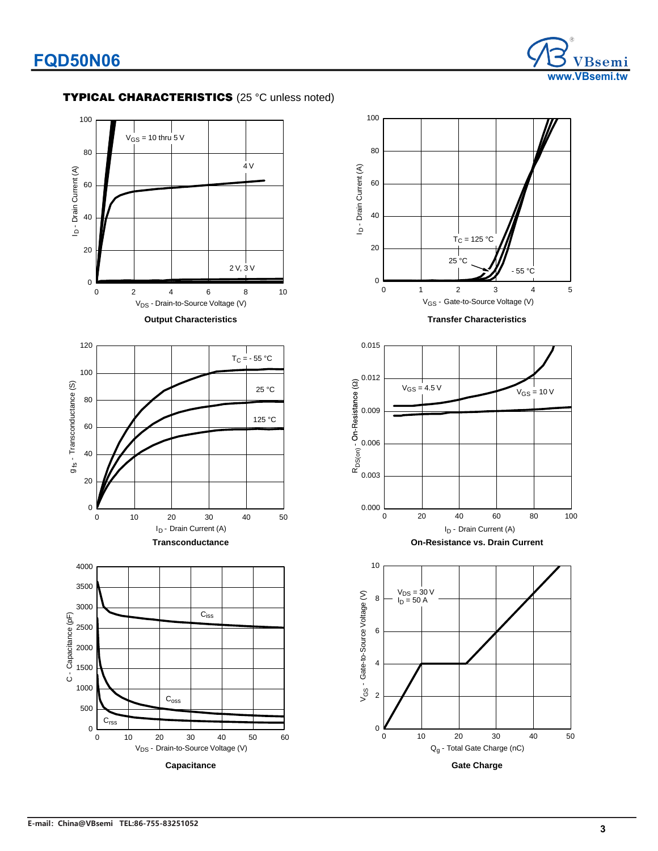

### **TYPICAL CHARACTERISTICS** (25 °C unless noted)



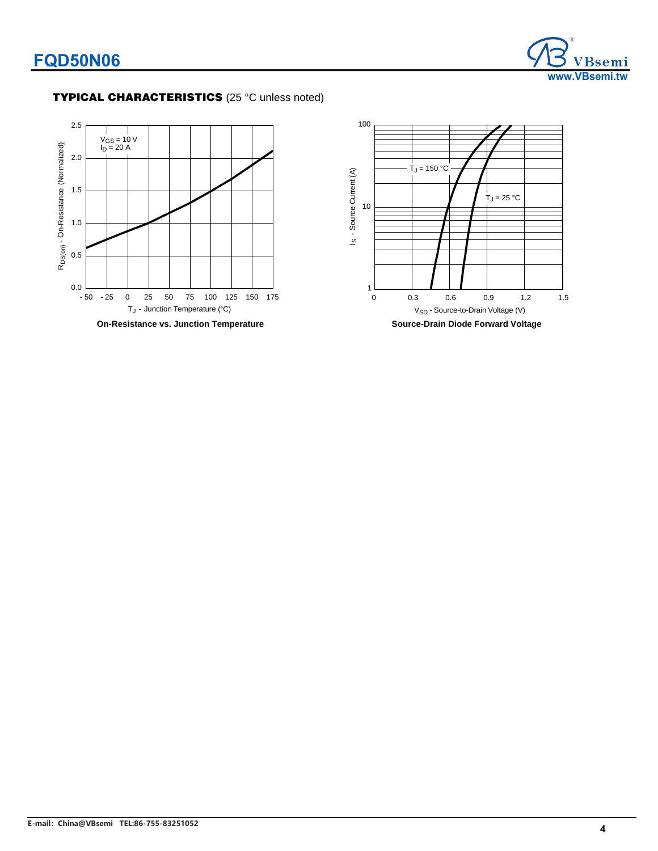

### **TYPICAL CHARACTERISTICS** (25 °C unless noted)



**On-Resistance vs. Junction Temperature**

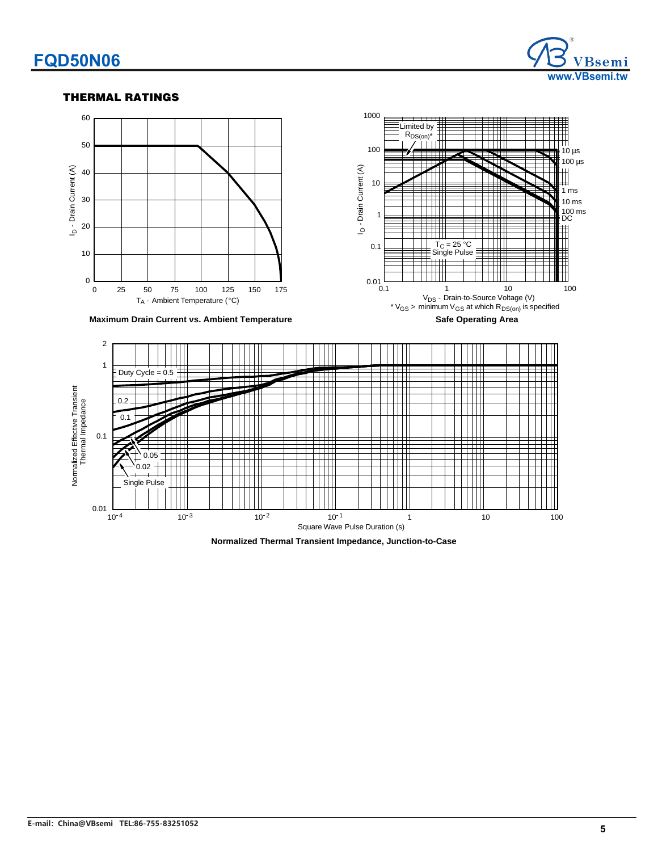### **FQD50N06**



#### **THERMAL RATINGS**



**Normalized Thermal Transient Impedance, Junction-to-Case**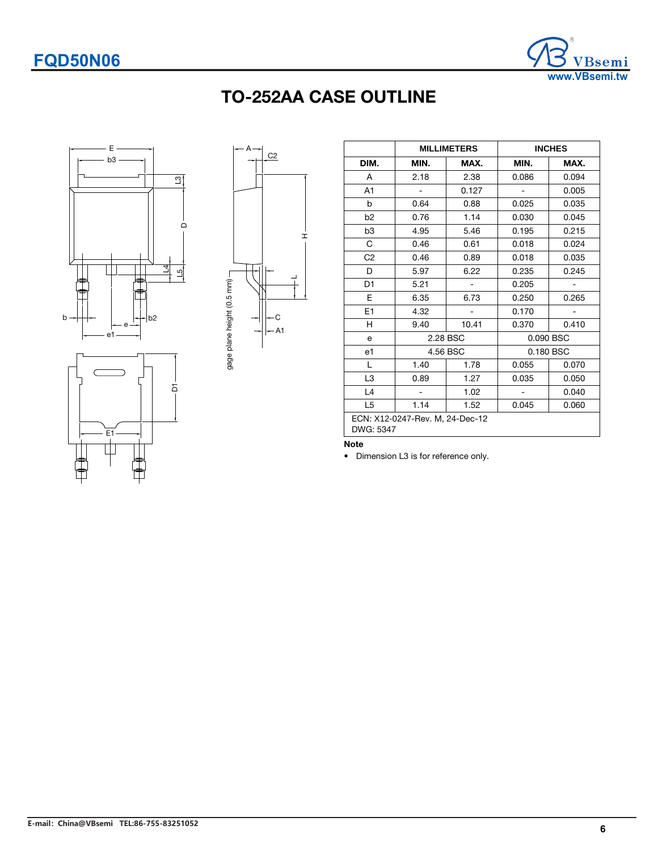

## TO-252AA CASE OUTLINE





|                                              |      | <b>MILLIMETERS</b> | <b>INCHES</b>  |       |  |
|----------------------------------------------|------|--------------------|----------------|-------|--|
| DIM.                                         | MIN. | MAX.               | MIN.           | MAX.  |  |
| A                                            | 2.18 | 2.38               | 0.086          | 0.094 |  |
| A1                                           |      | 0.127              |                | 0.005 |  |
| b                                            | 0.64 | 0.88               | 0.025          | 0.035 |  |
| b <sub>2</sub>                               | 0.76 | 1.14               | 0.030          | 0.045 |  |
| b <sub>3</sub>                               | 4.95 | 5.46               | 0.195          | 0.215 |  |
| С                                            | 0.46 | 0.61               | 0.018          | 0.024 |  |
| C <sub>2</sub>                               | 0.46 | 0.89               | 0.018          | 0.035 |  |
| D                                            | 5.97 | 6.22               | 0.235          | 0.245 |  |
| D <sub>1</sub>                               | 5.21 |                    | 0.205          |       |  |
| E                                            | 6.35 | 6.73               | 0.250          | 0.265 |  |
| E1                                           | 4.32 |                    | 0.170          |       |  |
| н                                            | 9.40 | 10.41              | 0.370          | 0.410 |  |
| e                                            |      | 2.28 BSC           | 0.090 BSC      |       |  |
| e1                                           |      | 4.56 BSC           | 0.180 BSC      |       |  |
| L                                            | 1.40 | 1.78               | 0.055          | 0.070 |  |
| L <sub>3</sub>                               | 0.89 | 1.27               | 0.035          | 0.050 |  |
| L4                                           | ÷,   | 1.02               | $\overline{a}$ | 0.040 |  |
| L <sub>5</sub>                               | 1.14 | 1.52               | 0.045          | 0.060 |  |
| ECN: X12-0247-Rev. M, 24-Dec-12<br>DWG: 5347 |      |                    |                |       |  |

#### Note

• Dimension L3 is for reference only.